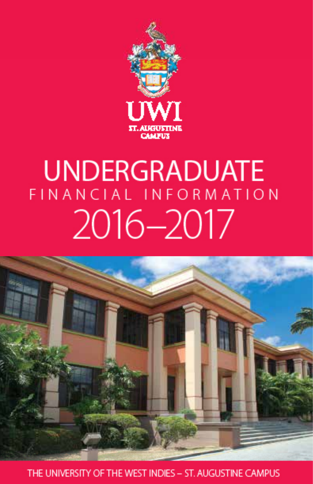

# **UNDERGRADUATE** FINANCIAL INFORMATION 2016-2017



THE UNIVERSITY OF THE WEST INDIES - ST. AUGUSTINE CAMPUS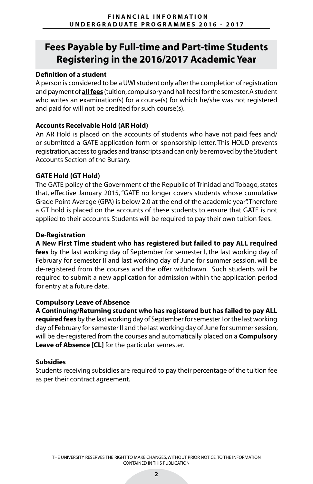# **Fees Payable by Full-time and Part-time Students Registering in the 2016/2017 Academic Year**

#### **Definition of a student**

A person is considered to be a UWI student only after the completion of registration and payment of **all fees** (tuition, compulsory and hall fees) for the semester. A student who writes an examination(s) for a course(s) for which he/she was not registered and paid for will not be credited for such course(s).

#### **Accounts Receivable Hold (AR Hold)**

An AR Hold is placed on the accounts of students who have not paid fees and/ or submitted a GATE application form or sponsorship letter. This HOLD prevents registration, access to grades and transcripts and can only be removed by the Student Accounts Section of the Bursary.

#### **GATE Hold (GT Hold)**

The GATE policy of the Government of the Republic of Trinidad and Tobago, states that, effective January 2015, "GATE no longer covers students whose cumulative Grade Point Average (GPA) is below 2.0 at the end of the academic year". Therefore a GT hold is placed on the accounts of these students to ensure that GATE is not applied to their accounts. Students will be required to pay their own tuition fees.

#### **De-Registration**

**A New First Time student who has registered but failed to pay ALL required fees** by the last working day of September for semester I, the last working day of

February for semester II and last working day of June for summer session, will be de-registered from the courses and the offer withdrawn. Such students will be required to submit a new application for admission within the application period for entry at a future date.

#### **Compulsory Leave of Absence**

**A Continuing/Returning student who has registered but has failed to pay ALL requiredfees** by the last working day of September for semester I or the last working day of February for semester II and the last working day of June for summer session, will be de-registered from the courses and automatically placed on a **Compulsory Leave of Absence [CL]** for the particular semester.

#### **Subsidies**

Students receiving subsidies are required to pay their percentage of the tuition fee as per their contract agreement.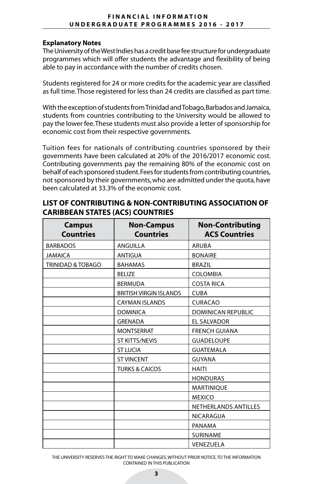#### **FINANCIAL INFORMATION UNDERGRADUATE PROGRAMMES 2016 - 2017**

#### **Explanatory Notes**

The University of the West Indies has a credit base fee structure for undergraduate programmes which will offer students the advantage and flexibility of being able to pay in accordance with the number of credits chosen.

Students registered for 24 or more credits for the academic year are classified as full time. Those registered for less than 24 credits are classified as part time.

With the exception of students from Trinidad and Tobago, Barbados and Jamaica, students from countries contributing to the University would be allowed to pay the lower fee. These students must also provide a letter of sponsorship for economic cost from their respective governments.

Tuition fees for nationals of contributing countries sponsored by their governments have been calculated at 20% of the 2016/2017 economic cost. Contributing governments pay the remaining 80% of the economic cost on behalf of each sponsored student. Fees for students from contributing countries, not sponsored by their governments, who are admitted under the quota, have been calculated at 33.3% of the economic cost.

| <b>Campus</b><br><b>Countries</b> | <b>Non-Campus</b><br><b>Countries</b> | <b>Non-Contributing</b><br><b>ACS Countries</b> |
|-----------------------------------|---------------------------------------|-------------------------------------------------|
| <b>BARBADOS</b>                   | <b>ANGUILLA</b>                       | <b>ARUBA</b>                                    |
| <b>JAMAICA</b>                    | <b>ANTIGUA</b>                        | <b>BONAIRE</b>                                  |
| <b>TRINIDAD &amp; TOBAGO</b>      | <b>BAHAMAS</b>                        | <b>BRAZIL</b>                                   |
|                                   | <b>BELIZE</b>                         | <b>COLOMBIA</b>                                 |
|                                   | <b>BERMUDA</b>                        | <b>COSTA RICA</b>                               |
|                                   | <b>BRITISH VIRGIN ISLANDS</b>         | <b>CUBA</b>                                     |
|                                   | <b>CAYMAN ISLANDS</b>                 | <b>CURACAO</b>                                  |
|                                   | <b>DOMINICA</b>                       | <b>DOMINICAN REPUBLIC</b>                       |
|                                   | <b>GRENADA</b>                        | <b>EL SALVADOR</b>                              |
|                                   | <b>MONTSERRAT</b>                     | <b>FRENCH GUIANA</b>                            |
|                                   | <b>ST KITTS/NEVIS</b>                 | <b>GUADELOUPE</b>                               |
|                                   | <b>ST LUCIA</b>                       | <b>GUATEMALA</b>                                |
|                                   | <b>ST VINCENT</b>                     | <b>GUYANA</b>                                   |
|                                   | <b>TURKS &amp; CAICOS</b>             | <b>HAITI</b>                                    |
|                                   |                                       | <b>HONDURAS</b>                                 |
|                                   |                                       | MARTINIQUE                                      |
|                                   |                                       | <b>MEXICO</b>                                   |
|                                   |                                       | <b>NETHERLANDS ANTILLES</b>                     |
|                                   |                                       | NICARAGUA                                       |
|                                   |                                       | PANAMA                                          |
|                                   |                                       | <b>SURINAME</b>                                 |
|                                   |                                       | VENEZUELA                                       |

#### **LIST OF CONTRIBUTING & NON-CONTRIBUTING ASSOCIATION OF CARIBBEAN STATES (ACS) COUNTRIES**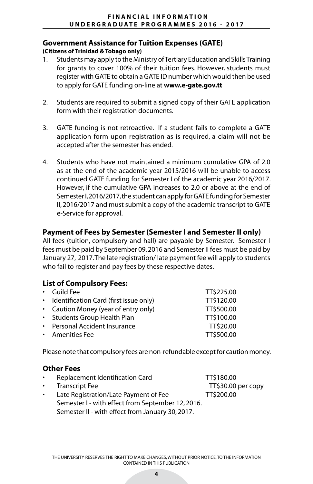### **Government Assistance for Tuition Expenses (GATE)**

#### **(Citizens of Trinidad & Tobago only)**

- 1. Students may apply to the Ministry of Tertiary Education and Skills Training for grants to cover 100% of their tuition fees. However, students must register with GATE to obtain a GATE ID number which would then be used to apply for GATE funding on-line at **www.e-gate.gov.tt**
- 2. Students are required to submit a signed copy of their GATE application form with their registration documents.
- 3. GATE funding is not retroactive. If a student fails to complete a GATE application form upon registration as is required, a claim will not be accepted after the semester has ended.
- 4. Students who have not maintained a minimum cumulative GPA of 2.0 as at the end of the academic year 2015/2016 will be unable to access continued GATE funding for Semester I of the academic year 2016/2017. However, if the cumulative GPA increases to 2.0 or above at the end of Semester I, 2016/2017, the student can apply for GATE funding for Semester II, 2016/2017 and must submit a copy of the academic transcript to GATE e-Service for approval.

### **Payment of Fees by Semester (Semester I and Semester II only)**

All fees (tuition, compulsory and hall) are payable by Semester. Semester I fees must be paid by September 09, 2016 and Semester II fees must be paid by January 27, 2017. The late registration/ late payment fee will apply to students who fail to register and pay fees by these respective dates.

### **List of Compulsory Fees:**

| $\cdot$ Guild Fee                        | TT\$225.00 |
|------------------------------------------|------------|
| • Identification Card (first issue only) | TT\$120.00 |
| • Caution Money (year of entry only)     | TT\$500.00 |
| • Students Group Health Plan             | TT\$100.00 |
| • Personal Accident Insurance            | TT\$20.00  |
| • Amenities Fee                          | TT\$500.00 |

Please note that compulsory fees are non-refundable except for caution money.

#### **Other Fees**

Replacement Identification Card TT\$180.00 Transcript Fee Transcript Fee Transcript Fee Transcript Fee Transcript Fee Transcript Fee Transcript In the Transcript of Transcript In the Transcript of Transcript In the Transcript of Transcript In the Transcript of Tran Late Registration/Late Payment of Fee TT\$200.00 Semester I - with effect from September 12, 2016. Semester II - with effect from January 30, 2017.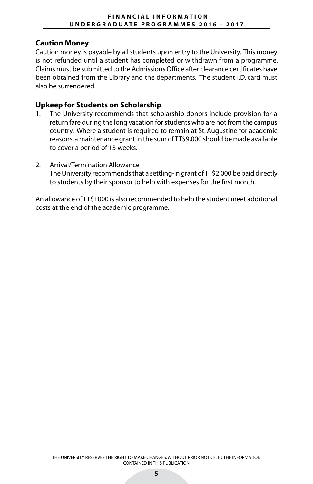#### **Caution Money**

Caution money is payable by all students upon entry to the University. This money is not refunded until a student has completed or withdrawn from a programme. Claims must be submitted to the Admissions Office after clearance certificates have been obtained from the Library and the departments. The student I.D. card must also be surrendered.

### **Upkeep for Students on Scholarship**

- 1. The University recommends that scholarship donors include provision for a return fare during the long vacation for students who are not from the campus country. Where a student is required to remain at St. Augustine for academic reasons, a maintenance grant in the sum of TT\$9,000 should be made available to cover a period of 13 weeks.
- 2. Arrival/Termination Allowance The University recommends that a settling-in grant of TT\$2,000 be paid directly to students by their sponsor to help with expenses for the first month.

An allowance of TT\$1000 is also recommended to help the student meet additional costs at the end of the academic programme.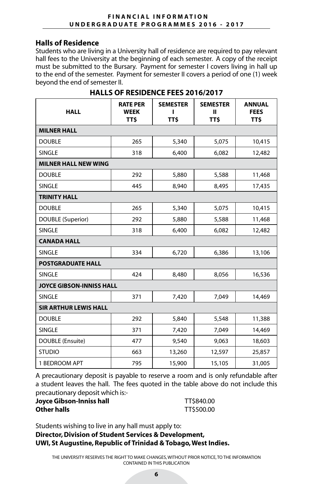#### **Halls of Residence**

Students who are living in a University hall of residence are required to pay relevant hall fees to the University at the beginning of each semester. A copy of the receipt must be submitted to the Bursary. Payment for semester I covers living in hall up to the end of the semester. Payment for semester II covers a period of one (1) week beyond the end of semester II.

| <b>HALL</b>                     | <b>RATE PER</b><br><b>WEEK</b><br><b>TTS</b> | <b>SEMESTER</b><br>TT\$ | <b>SEMESTER</b><br>ш<br>TT\$ | <b>ANNUAL</b><br><b>FEES</b><br><b>TTS</b> |  |
|---------------------------------|----------------------------------------------|-------------------------|------------------------------|--------------------------------------------|--|
| <b>MILNER HALL</b>              |                                              |                         |                              |                                            |  |
| <b>DOUBLE</b>                   | 265                                          | 5,340                   | 5,075                        | 10,415                                     |  |
| <b>SINGLE</b>                   | 318                                          | 6,400                   | 6,082                        | 12,482                                     |  |
| <b>MILNER HALL NEW WING</b>     |                                              |                         |                              |                                            |  |
| <b>DOUBLE</b>                   | 292                                          | 5,880                   | 5,588                        | 11,468                                     |  |
| <b>SINGLE</b>                   | 445                                          | 8,940                   | 8,495                        | 17,435                                     |  |
| <b>TRINITY HALL</b>             |                                              |                         |                              |                                            |  |
| <b>DOUBLE</b>                   | 265                                          | 5,340                   | 5,075                        | 10,415                                     |  |
| DOUBLE (Superior)               | 292                                          | 5,880                   | 5,588                        | 11,468                                     |  |
| <b>SINGLE</b>                   | 318                                          | 6,400                   | 6,082                        | 12,482                                     |  |
| <b>CANADA HALL</b>              |                                              |                         |                              |                                            |  |
| <b>SINGLE</b>                   | 334                                          | 6,720                   | 6,386                        | 13,106                                     |  |
| <b>POSTGRADUATE HALL</b>        |                                              |                         |                              |                                            |  |
| <b>SINGLE</b>                   | 424                                          | 8,480                   | 8,056                        | 16,536                                     |  |
| <b>JOYCE GIBSON-INNISS HALL</b> |                                              |                         |                              |                                            |  |
| <b>SINGLE</b>                   | 371                                          | 7,420                   | 7,049                        | 14,469                                     |  |
| <b>SIR ARTHUR LEWIS HALL</b>    |                                              |                         |                              |                                            |  |
| <b>DOUBLE</b>                   | 292                                          | 5,840                   | 5,548                        | 11,388                                     |  |
| <b>SINGLE</b>                   | 371                                          | 7,420                   | 7,049                        | 14,469                                     |  |
| DOUBLE (Ensuite)                | 477                                          | 9,540                   | 9,063                        | 18,603                                     |  |
| <b>STUDIO</b>                   | 663                                          | 13,260                  | 12,597                       | 25,857                                     |  |
| 1 BEDROOM APT                   | 795                                          | 15,900                  | 15,105                       | 31,005                                     |  |

# **HALLS OF RESIDENCE FEES 2016/2017**

A precautionary deposit is payable to reserve a room and is only refundable after a student leaves the hall. The fees quoted in the table above do not include this precautionary deposit which is:-

#### **Joyce Gibson-Inniss hall** TT\$840.00 **Other halls** TT\$500.00

Students wishing to live in any hall must apply to:

### **Director, Division of Student Services & Development, UWI, St Augustine, Republic of Trinidad & Tobago, West Indies.**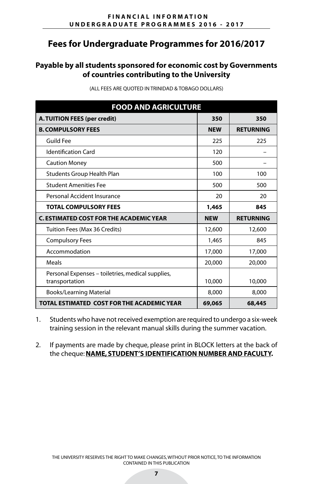## **Payable by all students sponsored for economic cost by Governments of countries contributing to the University**

| <b>FOOD AND AGRICULTURE</b>                                         |            |                  |
|---------------------------------------------------------------------|------------|------------------|
| A. TUITION FEES (per credit)                                        | 350        | 350              |
| <b>B. COMPULSORY FEES</b>                                           | <b>NEW</b> | <b>RETURNING</b> |
| Guild Fee                                                           | 225        | 225              |
| <b>Identification Card</b>                                          | 120        |                  |
| <b>Caution Money</b>                                                | 500        |                  |
| <b>Students Group Health Plan</b>                                   | 100        | 100              |
| <b>Student Amenities Fee</b>                                        | 500        | 500              |
| Personal Accident Insurance                                         | 20         | 20               |
| <b>TOTAL COMPULSORY FEES</b>                                        | 1,465      | 845              |
| <b>C. ESTIMATED COST FOR THE ACADEMIC YEAR</b>                      | <b>NEW</b> | <b>RETURNING</b> |
| Tuition Fees (Max 36 Credits)                                       | 12,600     | 12,600           |
| <b>Compulsory Fees</b>                                              | 1,465      | 845              |
| Accommodation                                                       | 17,000     | 17,000           |
| Meals                                                               | 20,000     | 20,000           |
| Personal Expenses – toiletries, medical supplies,<br>transportation | 10,000     | 10,000           |
| <b>Books/Learning Material</b>                                      | 8,000      | 8,000            |
| TOTAL ESTIMATED COST FOR THE ACADEMIC YEAR                          | 69,065     | 68,445           |

(ALL FEES ARE QUOTED IN TRINIDAD & TOBAGO DOLLARS)

1. Students who have not received exemption are required to undergo a six-week training session in the relevant manual skills during the summer vacation.

2. If payments are made by cheque, please print in BLOCK letters at the back of the cheque: **NAME, STUDENT'S IDENTIFICATION NUMBER AND FACULTY.**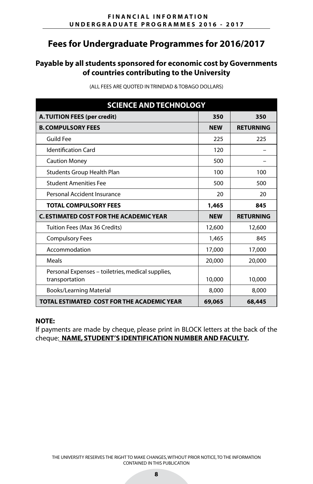# **Payable by all students sponsored for economic cost by Governments of countries contributing to the University**

| <b>SCIENCE AND TECHNOLOGY</b>                                       |            |                  |
|---------------------------------------------------------------------|------------|------------------|
| A. TUITION FEES (per credit)                                        | 350        | 350              |
| <b>B. COMPULSORY FEES</b>                                           | <b>NEW</b> | <b>RETURNING</b> |
| Guild Fee                                                           | 225        | 225              |
| <b>Identification Card</b>                                          | 120        |                  |
| <b>Caution Money</b>                                                | 500        |                  |
| Students Group Health Plan                                          | 100        | 100              |
| <b>Student Amenities Fee</b>                                        | 500        | 500              |
| Personal Accident Insurance                                         | 20         | 20               |
| <b>TOTAL COMPULSORY FEES</b>                                        | 1,465      | 845              |
| <b>C. ESTIMATED COST FOR THE ACADEMIC YEAR</b>                      | <b>NEW</b> | <b>RETURNING</b> |
| Tuition Fees (Max 36 Credits)                                       | 12,600     | 12,600           |
| <b>Compulsory Fees</b>                                              | 1,465      | 845              |
| Accommodation                                                       | 17,000     | 17,000           |
| Meals                                                               | 20,000     | 20,000           |
| Personal Expenses – toiletries, medical supplies,<br>transportation | 10,000     | 10,000           |
| <b>Books/Learning Material</b>                                      | 8,000      | 8,000            |
| TOTAL ESTIMATED COST FOR THE ACADEMIC YEAR                          | 69,065     | 68,445           |

(ALL FEES ARE QUOTED IN TRINIDAD & TOBAGO DOLLARS)

#### **NOTE:**

If payments are made by cheque, please print in BLOCK letters at the back of the cheque: **NAME, STUDENT'S IDENTIFICATION NUMBER AND FACULTY.**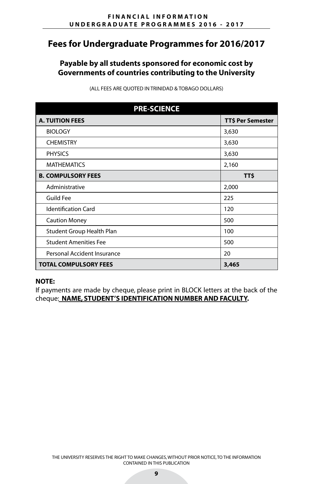## **Payable by all students sponsored for economic cost by Governments of countries contributing to the University**

| <b>PRE-SCIENCE</b>           |                          |  |
|------------------------------|--------------------------|--|
| <b>A. TUITION FEES</b>       | <b>TT\$ Per Semester</b> |  |
| <b>BIOLOGY</b>               | 3,630                    |  |
| <b>CHEMISTRY</b>             | 3,630                    |  |
| <b>PHYSICS</b>               | 3,630                    |  |
| <b>MATHEMATICS</b>           | 2,160                    |  |
| <b>B. COMPULSORY FEES</b>    | <b>TTS</b>               |  |
| Administrative               | 2,000                    |  |
| Guild Fee                    | 225                      |  |
| <b>Identification Card</b>   | 120                      |  |
| <b>Caution Money</b>         | 500                      |  |
| Student Group Health Plan    | 100                      |  |
| <b>Student Amenities Fee</b> | 500                      |  |
| Personal Accident Insurance  | 20                       |  |
| <b>TOTAL COMPULSORY FEES</b> | 3,465                    |  |

(ALL FEES ARE QUOTED IN TRINIDAD & TOBAGO DOLLARS)

#### **NOTE:**

If payments are made by cheque, please print in BLOCK letters at the back of the cheque: **NAME, STUDENT'S IDENTIFICATION NUMBER AND FACULTY.**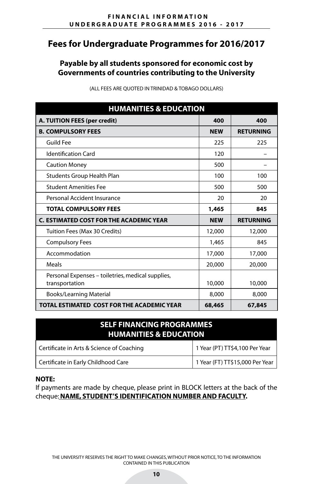## **Payable by all students sponsored for economic cost by Governments of countries contributing to the University**

| <b>HUMANITIES &amp; EDUCATION</b>                                   |            |                  |
|---------------------------------------------------------------------|------------|------------------|
| A. TUITION FEES (per credit)                                        | 400        | 400              |
| <b>B. COMPULSORY FEES</b>                                           | <b>NEW</b> | <b>RETURNING</b> |
| Guild Fee                                                           | 225        | 225              |
| <b>Identification Card</b>                                          | 120        |                  |
| <b>Caution Money</b>                                                | 500        |                  |
| Students Group Health Plan                                          | 100        | 100              |
| <b>Student Amenities Fee</b>                                        | 500        | 500              |
| Personal Accident Insurance                                         | 20         | 20               |
| <b>TOTAL COMPULSORY FEES</b>                                        | 1,465      | 845              |
| C. ESTIMATED COST FOR THE ACADEMIC YEAR                             | <b>NEW</b> | <b>RETURNING</b> |
| Tuition Fees (Max 30 Credits)                                       | 12,000     | 12,000           |
| <b>Compulsory Fees</b>                                              | 1,465      | 845              |
| Accommodation                                                       | 17,000     | 17,000           |
| Meals                                                               | 20,000     | 20,000           |
| Personal Expenses – toiletries, medical supplies,<br>transportation | 10,000     | 10,000           |
| <b>Books/Learning Material</b>                                      | 8,000      | 8,000            |
| TOTAL ESTIMATED COST FOR THE ACADEMIC YEAR                          | 68,465     | 67,845           |

(ALL FEES ARE QUOTED IN TRINIDAD & TOBAGO DOLLARS)

| <b>SELF FINANCING PROGRAMMES</b><br><b>HUMANITIES &amp; EDUCATION</b> |                                 |  |
|-----------------------------------------------------------------------|---------------------------------|--|
| Certificate in Arts & Science of Coaching                             | 1 Year (PT) TT\$4,100 Per Year  |  |
| Certificate in Early Childhood Care                                   | 1 Year (FT) TT\$15,000 Per Year |  |

#### **NOTE:**

If payments are made by cheque, please print in BLOCK letters at the back of the cheque:**NAME, STUDENT'S IDENTIFICATION NUMBER AND FACULTY.**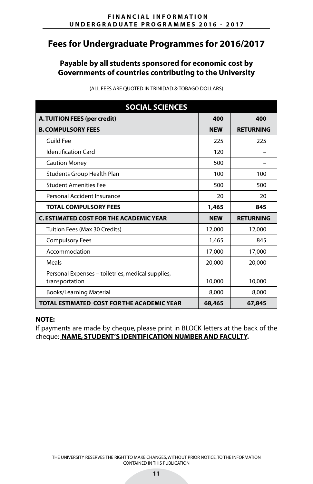## **Payable by all students sponsored for economic cost by Governments of countries contributing to the University**

| <b>SOCIAL SCIENCES</b>                                              |            |                  |
|---------------------------------------------------------------------|------------|------------------|
| <b>A. TUITION FEES (per credit)</b>                                 | 400        | 400              |
| <b>B. COMPULSORY FEES</b>                                           | <b>NEW</b> | <b>RETURNING</b> |
| <b>Guild Fee</b>                                                    | 225        | 225              |
| <b>Identification Card</b>                                          | 120        |                  |
| <b>Caution Money</b>                                                | 500        |                  |
| Students Group Health Plan                                          | 100        | 100              |
| <b>Student Amenities Fee</b>                                        | 500        | 500              |
| Personal Accident Insurance                                         | 20         | 20               |
| <b>TOTAL COMPULSORY FEES</b>                                        | 1,465      | 845              |
| <b>C. ESTIMATED COST FOR THE ACADEMIC YEAR</b>                      | <b>NEW</b> | <b>RETURNING</b> |
| Tuition Fees (Max 30 Credits)                                       | 12,000     | 12,000           |
| <b>Compulsory Fees</b>                                              | 1,465      | 845              |
| Accommodation                                                       | 17,000     | 17,000           |
| Meals                                                               | 20,000     | 20,000           |
| Personal Expenses – toiletries, medical supplies,<br>transportation | 10,000     | 10,000           |
| <b>Books/Learning Material</b>                                      | 8,000      | 8,000            |
| TOTAL ESTIMATED COST FOR THE ACADEMIC YEAR                          | 68,465     | 67,845           |

(ALL FEES ARE QUOTED IN TRINIDAD & TOBAGO DOLLARS)

#### **NOTE:**

If payments are made by cheque, please print in BLOCK letters at the back of the cheque: **NAME, STUDENT'S IDENTIFICATION NUMBER AND FACULTY.**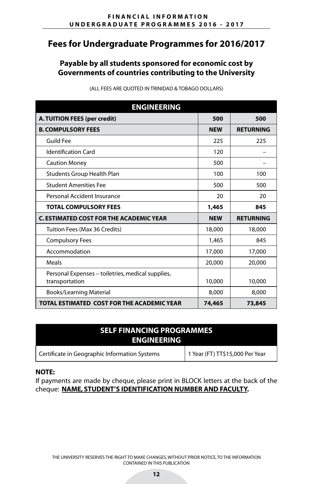## **Payable by all students sponsored for economic cost by Governments of countries contributing to the University**

| <b>ENGINEERING</b>                                                  |            |                  |
|---------------------------------------------------------------------|------------|------------------|
| A. TUITION FEES (per credit)                                        | 500        | 500              |
| <b>B. COMPULSORY FEES</b>                                           | <b>NEW</b> | <b>RETURNING</b> |
| Guild Fee                                                           | 225        | 225              |
| <b>Identification Card</b>                                          | 120        |                  |
| <b>Caution Money</b>                                                | 500        |                  |
| Students Group Health Plan                                          | 100        | 100              |
| <b>Student Amenities Fee</b>                                        | 500        | 500              |
| Personal Accident Insurance                                         | 20         | 20               |
| <b>TOTAL COMPULSORY FEES</b>                                        | 1,465      | 845              |
| <b>C. ESTIMATED COST FOR THE ACADEMIC YEAR</b>                      | <b>NEW</b> | <b>RETURNING</b> |
| Tuition Fees (Max 36 Credits)                                       | 18,000     | 18,000           |
| <b>Compulsory Fees</b>                                              | 1,465      | 845              |
| Accommodation                                                       | 17,000     | 17,000           |
| Meals                                                               | 20,000     | 20,000           |
| Personal Expenses – toiletries, medical supplies,<br>transportation | 10,000     | 10,000           |
| <b>Books/Learning Material</b>                                      | 8,000      | 8,000            |
| TOTAL ESTIMATED COST FOR THE ACADEMIC YEAR                          | 74,465     | 73,845           |

(ALL FEES ARE QUOTED IN TRINIDAD & TOBAGO DOLLARS)

| <b>SELF FINANCING PROGRAMMES</b><br><b>ENGINEERING</b> |                                 |  |
|--------------------------------------------------------|---------------------------------|--|
| Certificate in Geographic Information Systems          | 1 Year (FT) TT\$15,000 Per Year |  |

#### **NOTE:**

If payments are made by cheque, please print in BLOCK letters at the back of the cheque: **NAME, STUDENT'S IDENTIFICATION NUMBER AND FACULTY.**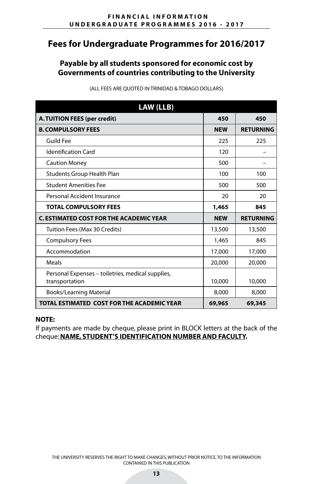## **Payable by all students sponsored for economic cost by Governments of countries contributing to the University**

| <b>LAW (LLB)</b>                                                    |            |                  |
|---------------------------------------------------------------------|------------|------------------|
| <b>A. TUITION FEES (per credit)</b>                                 | 450        | 450              |
| <b>B. COMPULSORY FEES</b>                                           | <b>NEW</b> | <b>RETURNING</b> |
| <b>Guild Fee</b>                                                    | 225        | 225              |
| <b>Identification Card</b>                                          | 120        |                  |
| <b>Caution Money</b>                                                | 500        |                  |
| <b>Students Group Health Plan</b>                                   | 100        | 100              |
| <b>Student Amenities Fee</b>                                        | 500        | 500              |
| Personal Accident Insurance                                         | 20         | 20               |
| <b>TOTAL COMPULSORY FEES</b>                                        | 1,465      | 845              |
| <b>C. ESTIMATED COST FOR THE ACADEMIC YEAR</b>                      | <b>NEW</b> | <b>RETURNING</b> |
| Tuition Fees (Max 30 Credits)                                       | 13,500     | 13,500           |
| <b>Compulsory Fees</b>                                              | 1,465      | 845              |
| Accommodation                                                       | 17,000     | 17,000           |
| Meals                                                               | 20,000     | 20,000           |
| Personal Expenses – toiletries, medical supplies,<br>transportation | 10,000     | 10,000           |
| <b>Books/Learning Material</b>                                      | 8,000      | 8,000            |
| TOTAL ESTIMATED COST FOR THE ACADEMIC YEAR                          | 69,965     | 69,345           |

(ALL FEES ARE QUOTED IN TRINIDAD & TOBAGO DOLLARS)

#### **NOTE:**

If payments are made by cheque, please print in BLOCK letters at the back of the cheque:**NAME, STUDENT'S IDENTIFICATION NUMBER AND FACULTY.**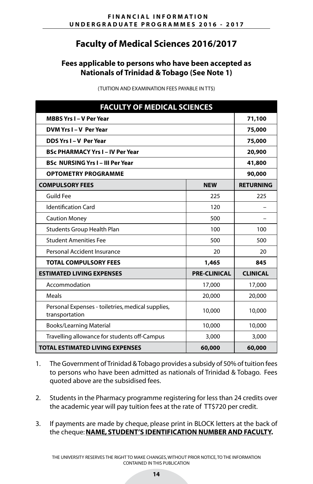# **Faculty of Medical Sciences 2016/2017**

## **Fees applicable to persons who have been accepted as Nationals of Trinidad & Tobago (See Note 1)**

(TUITION AND EXAMINATION FEES PAYABLE IN TT\$)

| <b>FACULTY OF MEDICAL SCIENCES</b>                                  |                     |                  |
|---------------------------------------------------------------------|---------------------|------------------|
| <b>MBBS Yrs I - V Per Year</b>                                      |                     | 71,100           |
| DVM Yrs I - V Per Year                                              |                     | 75,000           |
| DDS Yrs I - V Per Year                                              |                     | 75,000           |
| <b>BSc PHARMACY Yrs I - IV Per Year</b>                             |                     | 20,900           |
| <b>BSc NURSING Yrs I - III Per Year</b>                             |                     | 41,800           |
| <b>OPTOMETRY PROGRAMME</b>                                          |                     | 90,000           |
| <b>COMPULSORY FEES</b>                                              | <b>NEW</b>          | <b>RETURNING</b> |
| <b>Guild Fee</b>                                                    | 225                 | 225              |
| <b>Identification Card</b>                                          | 120                 |                  |
| <b>Caution Money</b>                                                | 500                 |                  |
| <b>Students Group Health Plan</b>                                   | 100                 | 100              |
| <b>Student Amenities Fee</b>                                        | 500                 | 500              |
| Personal Accident Insurance                                         | 20                  | 20               |
| <b>TOTAL COMPULSORY FEES</b>                                        | 1,465               | 845              |
| <b>ESTIMATED LIVING EXPENSES</b>                                    | <b>PRE-CLINICAL</b> | <b>CLINICAL</b>  |
| Accommodation                                                       | 17,000              | 17,000           |
| <b>Meals</b>                                                        | 20,000              | 20,000           |
| Personal Expenses - toiletries, medical supplies,<br>transportation | 10,000              | 10,000           |
| <b>Books/Learning Material</b>                                      | 10,000              | 10,000           |
| Travelling allowance for students off-Campus                        | 3,000               | 3,000            |
| <b>TOTAL ESTIMATED LIVING EXPENSES</b>                              | 60,000              | 60,000           |

- 1. The Government of Trinidad & Tobago provides a subsidy of 50% of tuition fees to persons who have been admitted as nationals of Trinidad & Tobago. Fees quoted above are the subsidised fees.
- 2. Students in the Pharmacy programme registering for less than 24 credits over the academic year will pay tuition fees at the rate of TT\$720 per credit.
- 3. If payments are made by cheque, please print in BLOCK letters at the back of the cheque: **NAME, STUDENT'S IDENTIFICATION NUMBER AND FACULTY.**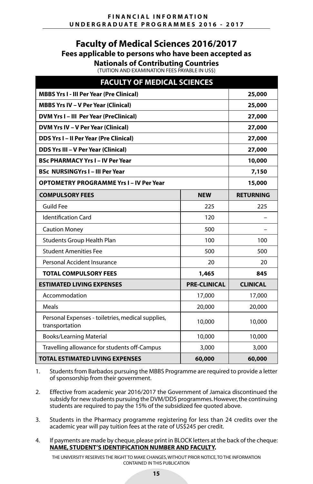# **Faculty of Medical Sciences 2016/2017 Fees applicable to persons who have been accepted as**

**Nationals of Contributing Countries**

(TUITION AND EXAMINATION FEES PAYABLE IN US\$)

| <b>FACULTY OF MEDICAL SCIENCES</b>                                  |                     |                  |  |
|---------------------------------------------------------------------|---------------------|------------------|--|
| <b>MBBS Yrs I - III Per Year (Pre Clinical)</b>                     |                     | 25,000           |  |
| <b>MBBS Yrs IV - V Per Year (Clinical)</b>                          |                     | 25,000           |  |
| DVM Yrs I - III Per Year (PreClinical)                              |                     | 27,000           |  |
| DVM Yrs IV - V Per Year (Clinical)                                  |                     | 27,000           |  |
| <b>DDS Yrs I-II Per Year (Pre Clinical)</b>                         |                     | 27,000           |  |
| <b>DDS Yrs III - V Per Year (Clinical)</b>                          |                     | 27,000           |  |
| <b>BSc PHARMACY Yrs I - IV Per Year</b>                             |                     | 10,000           |  |
| <b>BSc NURSINGYrs I - III Per Year</b>                              |                     | 7,150            |  |
| <b>OPTOMETRY PROGRAMME Yrs I - IV Per Year</b>                      | 15,000              |                  |  |
| <b>COMPULSORY FEES</b>                                              | <b>NEW</b>          | <b>RETURNING</b> |  |
| <b>Guild Fee</b>                                                    | 225                 | 225              |  |
| <b>Identification Card</b>                                          | 120                 |                  |  |
| <b>Caution Money</b>                                                | 500                 |                  |  |
| Students Group Health Plan                                          | 100                 | 100              |  |
| <b>Student Amenities Fee</b>                                        | 500                 | 500              |  |
| Personal Accident Insurance                                         | 20                  | 20               |  |
| <b>TOTAL COMPULSORY FEES</b>                                        | 1,465               | 845              |  |
| <b>ESTIMATED LIVING EXPENSES</b>                                    | <b>PRE-CLINICAL</b> | <b>CLINICAL</b>  |  |
| Accommodation                                                       | 17,000              | 17,000           |  |
| Meals                                                               | 20,000              | 20,000           |  |
| Personal Expenses - toiletries, medical supplies,<br>transportation | 10,000              | 10,000           |  |
| <b>Books/Learning Material</b>                                      | 10,000              | 10,000           |  |
| Travelling allowance for students off-Campus                        | 3,000               | 3,000            |  |
| <b>TOTAL ESTIMATED LIVING EXPENSES</b>                              | 60,000              | 60,000           |  |

1. Students from Barbados pursuing the MBBS Programme are required to provide a letter of sponsorship from their government.

- 2. Effective from academic year 2016/2017 the Government of Jamaica discontinued the subsidy for new students pursuing the DVM/DDS programmes. However, the continuing students are required to pay the 15% of the subsidized fee quoted above.
- 3. Students in the Pharmacy programme registering for less than 24 credits over the academic year will pay tuition fees at the rate of US\$245 per credit.
- 4. If payments are made by cheque, please print in BLOCK letters at the back of the cheque: **NAME, STUDENT'S IDENTIFICATION NUMBER AND FACULTY.**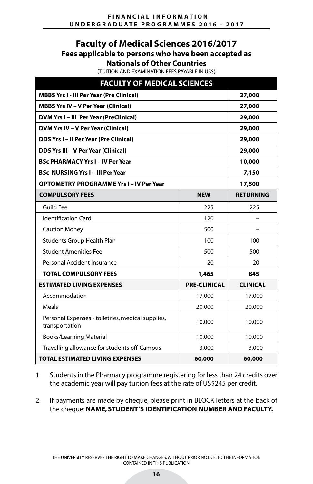## **Faculty of Medical Sciences 2016/2017 Fees applicable to persons who have been accepted as Nationals of Other Countries**

(TUITION AND EXAMINATION FEES PAYABLE IN US\$)

| <b>FACULTY OF MEDICAL SCIENCES</b>                                  |                     |                  |
|---------------------------------------------------------------------|---------------------|------------------|
| <b>MBBS Yrs I - III Per Year (Pre Clinical)</b>                     |                     | 27,000           |
| <b>MBBS Yrs IV - V Per Year (Clinical)</b>                          |                     | 27,000           |
| DVM Yrs I - III Per Year (PreClinical)                              |                     | 29,000           |
| DVM Yrs IV - V Per Year (Clinical)                                  |                     | 29,000           |
| <b>DDS Yrs I-II Per Year (Pre Clinical)</b>                         |                     | 29,000           |
| <b>DDS Yrs III - V Per Year (Clinical)</b>                          |                     | 29,000           |
| <b>BSc PHARMACY Yrs I - IV Per Year</b>                             |                     | 10,000           |
| <b>BSc NURSING Yrs I - III Per Year</b>                             |                     | 7,150            |
| <b>OPTOMETRY PROGRAMME Yrs I - IV Per Year</b>                      | 17,500              |                  |
| <b>COMPULSORY FEES</b>                                              | <b>NEW</b>          | <b>RETURNING</b> |
| <b>Guild Fee</b>                                                    | 225                 | 225              |
| <b>Identification Card</b>                                          | 120                 |                  |
| <b>Caution Money</b>                                                | 500                 |                  |
| Students Group Health Plan                                          | 100                 | 100              |
| <b>Student Amenities Fee</b>                                        | 500                 | 500              |
| Personal Accident Insurance                                         | 20                  | 20               |
| <b>TOTAL COMPULSORY FEES</b>                                        | 1,465               | 845              |
| <b>ESTIMATED LIVING EXPENSES</b>                                    | <b>PRE-CLINICAL</b> | <b>CLINICAL</b>  |
| Accommodation                                                       | 17,000              | 17,000           |
| Meals                                                               | 20,000              | 20,000           |
| Personal Expenses - toiletries, medical supplies,<br>transportation | 10,000              | 10,000           |
| <b>Books/Learning Material</b>                                      | 10,000              | 10,000           |
| Travelling allowance for students off-Campus                        | 3,000               | 3,000            |
| <b>TOTAL ESTIMATED LIVING EXPENSES</b>                              | 60,000              | 60,000           |

- 1. Students in the Pharmacy programme registering for less than 24 credits over the academic year will pay tuition fees at the rate of US\$245 per credit.
- 2. If payments are made by cheque, please print in BLOCK letters at the back of the cheque: **NAME, STUDENT'S IDENTIFICATION NUMBER AND FACULTY.**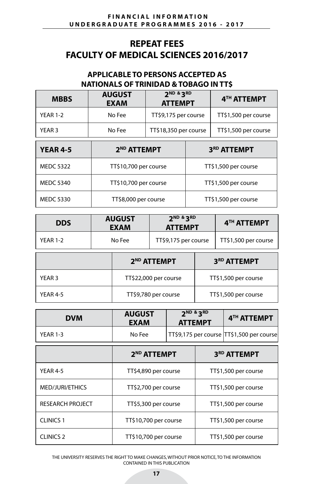# **REPEAT FEES FACULTY OF MEDICAL SCIENCES 2016/2017**

## **APPLICABLE TO PERSONS ACCEPTED AS NATIONALS OF TRINIDAD & TOBAGO IN TT\$**

| <b>MBBS</b>     | <b>AUGUST</b><br>EXAM | 2ND & 3RD<br><b>ATTEMPT</b> | 4 <sup>TH</sup> ATTEMPT |
|-----------------|-----------------------|-----------------------------|-------------------------|
| <b>YEAR 1-2</b> | No Fee                | TT\$9,175 per course        | TT\$1,500 per course    |
| YEAR 3          | No Fee                | TT\$18,350 per course       | TT\$1,500 per course    |

| <b>YEAR 4-5</b>  | 2 <sup>ND</sup> ATTEMPT | 3 <sup>RD</sup> ATTEMPT |
|------------------|-------------------------|-------------------------|
| <b>MEDC 5322</b> | TT\$10,700 per course   | TT\$1,500 per course    |
| <b>MEDC 5340</b> | TT\$10,700 per course   | TT\$1,500 per course    |
| <b>MEDC 5330</b> | TT\$8,000 per course    | TT\$1,500 per course    |

| <b>DDS</b>        | <b>AUGUST</b><br><b>EXAM</b> | 2 <sup>ND &amp;</sup> 3 <sup>RD</sup><br><b>ATTEMPT</b> | 4TH ATTEMPT          |
|-------------------|------------------------------|---------------------------------------------------------|----------------------|
| <b>YEAR 1-2</b>   | No Fee                       | TT\$9,175 per course                                    | TT\$1,500 per course |
|                   |                              | 2 <sup>ND</sup> ATTEMPT                                 | 3RD ATTEMPT          |
| YEAR <sub>3</sub> | TT\$22,000 per course        |                                                         | TT\$1,500 per course |
| YEAR 4-5          |                              | TT\$9,780 per course                                    | TT\$1,500 per course |

| <b>DVM</b>      | <b>AUGUST</b><br><b>EXAM</b> | $2ND$ & $3RD$<br><b>ATTEMPT</b>           | 4 <sup>TH</sup> ATTEMPT |
|-----------------|------------------------------|-------------------------------------------|-------------------------|
| <b>YFAR 1-3</b> | No Fee                       | TT\$9,175 per course TT\$1,500 per course |                         |

|                         | 2 <sup>ND</sup> ATTEMPT | 3 <sup>RD</sup> ATTEMPT |
|-------------------------|-------------------------|-------------------------|
| YEAR 4-5                | TT\$4,890 per course    | TT\$1,500 per course    |
| MED/JURI/ETHICS         | TT\$2,700 per course    | TT\$1,500 per course    |
| <b>RESEARCH PROJECT</b> | TT\$5,300 per course    | TT\$1,500 per course    |
| <b>CLINICS 1</b>        | TT\$10,700 per course   | TT\$1,500 per course    |
| <b>CLINICS 2</b>        | TT\$10,700 per course   | TT\$1,500 per course    |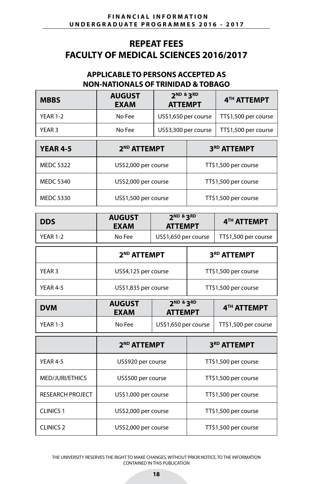# **REPEAT FEES FACULTY OF MEDICAL SCIENCES 2016/2017**

## **APPLICABLE TO PERSONS ACCEPTED AS NON-NATIONALS OF TRINIDAD & TOBAGO**

| <b>MBBS</b>     | <b>AUGUST</b><br><b>EXAM</b> | $2ND$ & $3RD$<br><b>ATTEMPT</b> | 4 <sup>TH</sup> ATTEMPT |
|-----------------|------------------------------|---------------------------------|-------------------------|
| <b>YEAR 1-2</b> | No Fee                       | US\$1,650 per course            | TT\$1,500 per course    |
| YEAR 3          | No Fee                       | US\$3,300 per course            | TT\$1,500 per course    |
|                 |                              |                                 |                         |

| <b>YEAR 4-5</b>  | 2 <sup>ND</sup> ATTEMPT | 3 <sup>RD</sup> ATTEMPT |
|------------------|-------------------------|-------------------------|
| <b>MEDC 5322</b> | US\$2,000 per course    | TT\$1,500 per course    |
| <b>MEDC 5340</b> | US\$2,000 per course    | TT\$1,500 per course    |
| <b>MEDC 5330</b> | US\$1,500 per course    | TT\$1,500 per course    |

| <b>DDS</b> | <b>AUGUST</b><br><b>EXAM</b> | $2ND$ & $3RD$<br><b>ATTEMPT</b> | 4 <sup>TH</sup> ATTEMPT |
|------------|------------------------------|---------------------------------|-------------------------|
| YFAR 1-2   | No Fee                       | US\$1,650 per course            | TT\$1,500 per course    |

|                 | 2 <sup>ND</sup> ATTEMPT | 3 <sup>RD</sup> ATTEMPT |
|-----------------|-------------------------|-------------------------|
| YEAR 3          | US\$4,125 per course    | TT\$1,500 per course    |
| <b>YFAR 4-5</b> | US\$1,835 per course    | TT\$1,500 per course    |

| <b>DVM</b>      | <b>AUGUST</b><br>EXAM | $2ND$ & $3RD$<br><b>ATTEMPT</b> | 4 <sup>TH</sup> ATTEMPT |
|-----------------|-----------------------|---------------------------------|-------------------------|
| <b>YEAR 1-3</b> | No Fee                | US\$1,650 per course $\vert$    | TT\$1,500 per course    |

|                         | 2 <sup>ND</sup> ATTEMPT | 3 <sup>RD</sup> ATTEMPT |
|-------------------------|-------------------------|-------------------------|
| YEAR 4-5                | US\$920 per course      | TT\$1,500 per course    |
| MED/JURI/ETHICS         | US\$500 per course      | TT\$1,500 per course    |
| <b>RESEARCH PROJECT</b> | US\$1,000 per course    | TT\$1,500 per course    |
| <b>CLINICS 1</b>        | US\$2,000 per course    | TT\$1,500 per course    |
| <b>CLINICS 2</b>        | US\$2,000 per course    | TT\$1,500 per course    |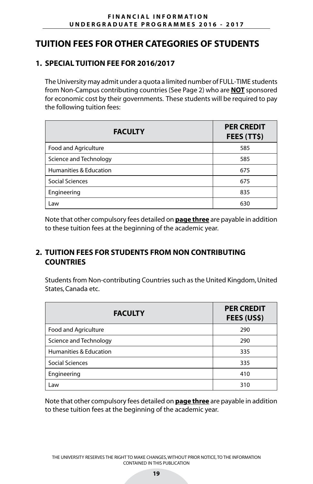# **TUITION FEES FOR OTHER CATEGORIES OF STUDENTS**

# **1. SPECIAL TUITION FEE FOR 2016/2017**

I

The University may admit under a quota a limited number of FULL-TIME students from Non-Campus contributing countries (See Page 2) who are **NOT** sponsored for economic cost by their governments. These students will be required to pay the following tuition fees:

| <b>FACULTY</b>         | <b>PER CREDIT</b><br>FEES (TT\$) |
|------------------------|----------------------------------|
| Food and Agriculture   | 585                              |
| Science and Technology | 585                              |
| Humanities & Education | 675                              |
| Social Sciences        | 675                              |
| Engineering            | 835                              |
| Law                    | 630                              |

Note that other compulsory fees detailed on **page three** are payable in addition to these tuition fees at the beginning of the academic year.

# **2. TUITION FEES FOR STUDENTS FROM NON CONTRIBUTING COUNTRIES**

Students from Non-contributing Countries such as the United Kingdom, United States, Canada etc.

| <b>FACULTY</b>                    | <b>PER CREDIT</b><br>FEES (US\$) |
|-----------------------------------|----------------------------------|
| Food and Agriculture              | 290                              |
| Science and Technology            | 290                              |
| <b>Humanities &amp; Education</b> | 335                              |
| Social Sciences                   | 335                              |
| Engineering                       | 410                              |
| Law                               | 310                              |

Note that other compulsory fees detailed on **page three** are payable in addition to these tuition fees at the beginning of the academic year.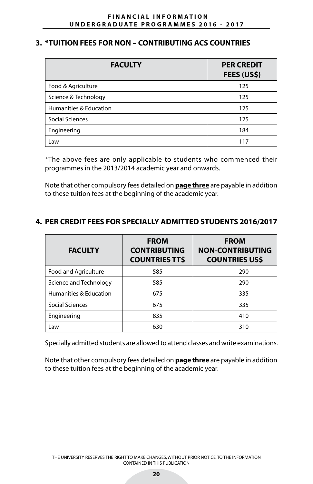## **3. \*TUITION FEES FOR NON – CONTRIBUTING ACS COUNTRIES**

| <b>FACULTY</b>         | <b>PER CREDIT</b><br>FEES (US\$) |
|------------------------|----------------------------------|
| Food & Agriculture     | 125                              |
| Science & Technology   | 125                              |
| Humanities & Education | 125                              |
| <b>Social Sciences</b> | 125                              |
| Engineering            | 184                              |
| Law                    | 117                              |

\*The above fees are only applicable to students who commenced their programmes in the 2013/2014 academic year and onwards.

Note that other compulsory fees detailed on **page three** are payable in addition to these tuition fees at the beginning of the academic year.

# **4. PER CREDIT FEES FOR SPECIALLY ADMITTED STUDENTS 2016/2017**

| <b>FACULTY</b>         | <b>FROM</b><br><b>CONTRIBUTING</b><br><b>COUNTRIES TT\$</b> | <b>FROM</b><br><b>NON-CONTRIBUTING</b><br><b>COUNTRIES US\$</b> |
|------------------------|-------------------------------------------------------------|-----------------------------------------------------------------|
| Food and Agriculture   | 585                                                         | 290                                                             |
| Science and Technology | 585                                                         | 290                                                             |
| Humanities & Education | 675                                                         | 335                                                             |
| Social Sciences        | 675                                                         | 335                                                             |
| Engineering            | 835                                                         | 410                                                             |
| Law                    | 630                                                         | 310                                                             |

Specially admitted students are allowed to attend classes and write examinations.

Note that other compulsory fees detailed on **page three** are payable in addition to these tuition fees at the beginning of the academic year.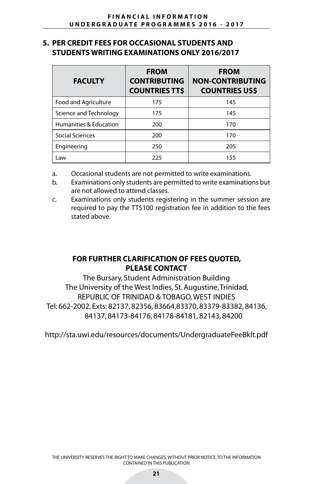### **5. PER CREDIT FEES FOR OCCASIONAL STUDENTS AND STUDENTS WRITING EXAMINATIONS ONLY 2016/2017**

| <b>FACULTY</b>                    | <b>FROM</b><br><b>CONTRIBUTING</b><br><b>COUNTRIES TT\$</b> | <b>FROM</b><br><b>NON-CONTRIBUTING</b><br><b>COUNTRIES US\$</b> |
|-----------------------------------|-------------------------------------------------------------|-----------------------------------------------------------------|
| Food and Agriculture              | 175                                                         | 145                                                             |
| Science and Technology            | 175                                                         | 145                                                             |
| <b>Humanities &amp; Education</b> | 200                                                         | 170                                                             |
| Social Sciences                   | 200                                                         | 170                                                             |
| Engineering                       | 250                                                         | 205                                                             |
| Law                               | 225                                                         | 155                                                             |

- a. Occasional students are not permitted to write examinations.
- b. Examinations only students are permitted to write examinations but are not allowed to attend classes.
- c. Examinations only students registering in the summer session are required to pay the TT\$100 registration fee in addition to the fees stated above.

## **FOR FURTHER CLARIFICATION OF FEES QUOTED, PLEASE CONTACT**

The Bursary, Student Administration Building The University of the West Indies, St. Augustine, Trinidad, REPUBLIC OF TRINIDAD & TOBAGO, WEST INDIES Tel: 662-2002, Exts: 82137, 82356, 83664,83370, 83379-83382, 84136, 84137, 84173-84176, 84178-84181, 82143, 84200

http://sta.uwi.edu/resources/documents/UndergraduateFeeBklt.pdf